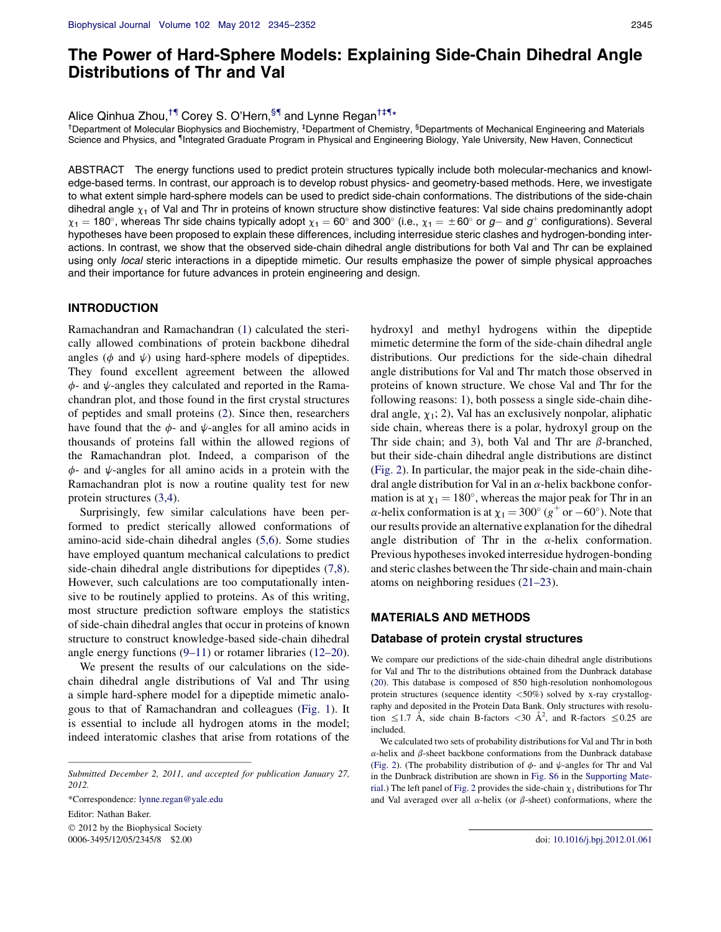# The Power of Hard-Sphere Models: Explaining Side-Chain Dihedral Angle Distributions of Thr and Val

Alice Qinhua Zhou,<sup>†¶</sup> Corey S. O'Hern,<sup>§¶</sup> and Lynne Regan<sup>†‡¶</sup>\*

<sup>†</sup>Department of Molecular Biophysics and Biochemistry, <sup>‡</sup>Department of Chemistry, <sup>§</sup>Departments of Mechanical Engineering and Materials Science and Physics, and "Integrated Graduate Program in Physical and Engineering Biology, Yale University, New Haven, Connecticut

ABSTRACT The energy functions used to predict protein structures typically include both molecular-mechanics and knowledge-based terms. In contrast, our approach is to develop robust physics- and geometry-based methods. Here, we investigate to what extent simple hard-sphere models can be used to predict side-chain conformations. The distributions of the side-chain dihedral angle  $\chi_1$  of Val and Thr in proteins of known structure show distinctive features: Val side chains predominantly adopt  $\chi_1$  = 180°, whereas Thr side chains typically adopt  $\chi_1 = 60^\circ$  and 300° (i.e.,  $\chi_1 = \pm 60^\circ$  or g- and g<sup>+</sup> configurations). Several hypotheses have been proposed to explain these differences, including interresidue steric clashes and hydrogen-bonding interactions. In contrast, we show that the observed side-chain dihedral angle distributions for both Val and Thr can be explained using only local steric interactions in a dipeptide mimetic. Our results emphasize the power of simple physical approaches and their importance for future advances in protein engineering and design.

# INTRODUCTION

Ramachandran and Ramachandran (1) calculated the sterically allowed combinations of protein backbone dihedral angles ( $\phi$  and  $\psi$ ) using hard-sphere models of dipeptides. They found excellent agreement between the allowed  $\phi$ - and  $\psi$ -angles they calculated and reported in the Ramachandran plot, and those found in the first crystal structures of peptides and small proteins (2). Since then, researchers have found that the  $\phi$ - and  $\psi$ -angles for all amino acids in thousands of proteins fall within the allowed regions of the Ramachandran plot. Indeed, a comparison of the  $\phi$ - and  $\psi$ -angles for all amino acids in a protein with the Ramachandran plot is now a routine quality test for new protein structures (3,4).

Surprisingly, few similar calculations have been performed to predict sterically allowed conformations of amino-acid side-chain dihedral angles (5,6). Some studies have employed quantum mechanical calculations to predict side-chain dihedral angle distributions for dipeptides (7,8). However, such calculations are too computationally intensive to be routinely applied to proteins. As of this writing, most structure prediction software employs the statistics of side-chain dihedral angles that occur in proteins of known structure to construct knowledge-based side-chain dihedral angle energy functions (9–11) or rotamer libraries (12–20).

We present the results of our calculations on the sidechain dihedral angle distributions of Val and Thr using a simple hard-sphere model for a dipeptide mimetic analogous to that of Ramachandran and colleagues (Fig. 1). It is essential to include all hydrogen atoms in the model; indeed interatomic clashes that arise from rotations of the

\*Correspondence: lynne.regan@yale.edu Editor: Nathan Baker.  $©$  2012 by the Biophysical Society

hydroxyl and methyl hydrogens within the dipeptide mimetic determine the form of the side-chain dihedral angle distributions. Our predictions for the side-chain dihedral angle distributions for Val and Thr match those observed in proteins of known structure. We chose Val and Thr for the following reasons: 1), both possess a single side-chain dihedral angle,  $\chi_1$ ; 2), Val has an exclusively nonpolar, aliphatic side chain, whereas there is a polar, hydroxyl group on the Thr side chain; and 3), both Val and Thr are  $\beta$ -branched, but their side-chain dihedral angle distributions are distinct (Fig. 2). In particular, the major peak in the side-chain dihedral angle distribution for Val in an  $\alpha$ -helix backbone conformation is at  $\chi_1 = 180^\circ$ , whereas the major peak for Thr in an  $\alpha$ -helix conformation is at  $\chi_1 = 300^\circ (g^+$  or  $-60^\circ)$ . Note that our results provide an alternative explanation for the dihedral angle distribution of Thr in the  $\alpha$ -helix conformation. Previous hypotheses invoked interresidue hydrogen-bonding and steric clashes between the Thr side-chain and main-chain atoms on neighboring residues (21–23).

# MATERIALS AND METHODS

## Database of protein crystal structures

We compare our predictions of the side-chain dihedral angle distributions for Val and Thr to the distributions obtained from the Dunbrack database (20). This database is composed of 850 high-resolution nonhomologous protein structures (sequence identity  $\langle 50\% \rangle$  solved by x-ray crystallography and deposited in the Protein Data Bank. Only structures with resolution  $\leq$  1.7 Å, side chain B-factors  $\lt$  30 Å<sup>2</sup>, and R-factors  $\leq$  0.25 are included.

We calculated two sets of probability distributions for Val and Thr in both  $\alpha$ -helix and  $\beta$ -sheet backbone conformations from the Dunbrack database (Fig. 2). (The probability distribution of  $\phi$ - and  $\psi$ -angles for Thr and Val in the Dunbrack distribution are shown in Fig. S6 in the Supporting Material.) The left panel of Fig. 2 provides the side-chain  $\chi_1$  distributions for Thr and Val averaged over all  $\alpha$ -helix (or  $\beta$ -sheet) conformations, where the

Submitted December 2, 2011, and accepted for publication January 27, 2012.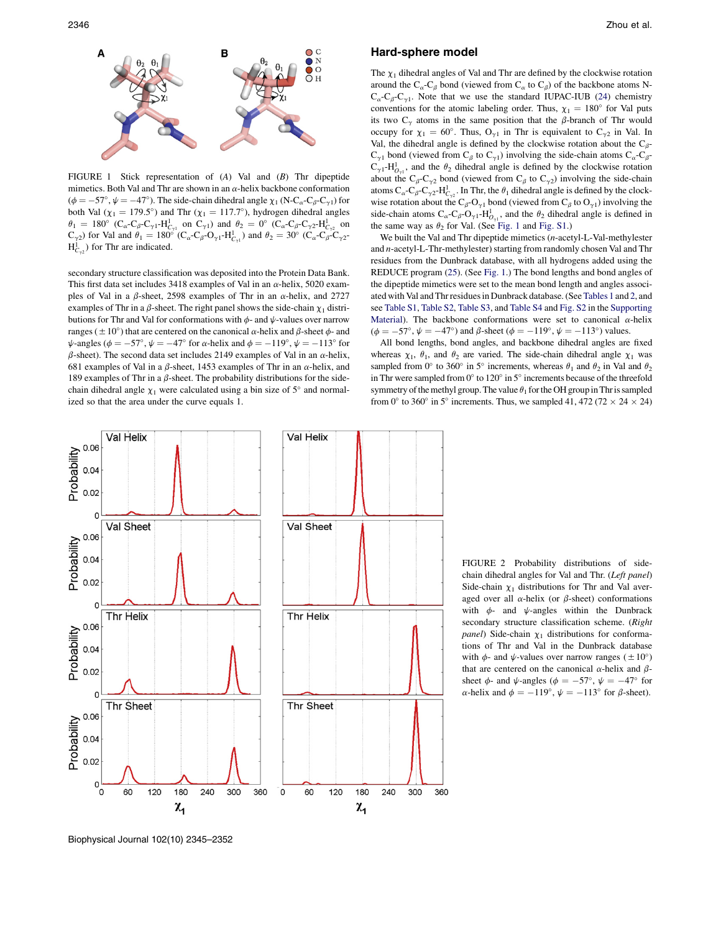

FIGURE 1 Stick representation of (A) Val and (B) Thr dipeptide mimetics. Both Val and Thr are shown in an  $\alpha$ -helix backbone conformation  $(\phi = -57^{\circ}, \psi = -47^{\circ})$ . The side-chain dihedral angle  $\chi_1$  (N-C<sub>a</sub>-C<sub>β</sub>-C<sub>γ1</sub>) for both Val ( $\chi_1$  = 179.5°) and Thr ( $\chi_1$  = 117.7°), hydrogen dihedral angles  $\theta_1 = 180^\circ \, (C_\alpha - C_\beta - C_{\gamma 1} - H_{C_{\gamma 1}}^1 \text{ on } C_{\gamma 1}) \text{ and } \theta_2 = 0^\circ \, (C_\alpha - C_\beta - C_{\gamma 2} - H_{C_{\gamma 2}}^1 \text{ on } C_{\gamma 1})$  $C_{\gamma^2}$ ) for Val and  $\theta_1 = 180^\circ$   $(C_\alpha - C_\beta - O_{\gamma^1} - H_{C_{\gamma^1}}^1)$  and  $\theta_2 = 30^\circ$   $(C_\alpha - C_\beta - C_{\gamma^2} - H_{C_{\gamma^1}}^1)$  $H_{C_{\gamma2}}^1$ ) for Thr are indicated.

secondary structure classification was deposited into the Protein Data Bank. This first data set includes 3418 examples of Val in an  $\alpha$ -helix, 5020 examples of Val in a  $\beta$ -sheet, 2598 examples of Thr in an  $\alpha$ -helix, and 2727 examples of Thr in a  $\beta$ -sheet. The right panel shows the side-chain  $\chi_1$  distributions for Thr and Val for conformations with  $\phi$ - and  $\psi$ -values over narrow ranges ( $\pm 10^{\circ}$ ) that are centered on the canonical  $\alpha$ -helix and  $\beta$ -sheet  $\phi$ - and  $\psi$ -angles ( $\phi = -57^\circ$ ,  $\psi = -47^\circ$  for  $\alpha$ -helix and  $\phi = -119^\circ$ ,  $\psi = -113^\circ$  for  $\beta$ -sheet). The second data set includes 2149 examples of Val in an  $\alpha$ -helix, 681 examples of Val in a  $\beta$ -sheet, 1453 examples of Thr in an  $\alpha$ -helix, and 189 examples of Thr in a  $\beta$ -sheet. The probability distributions for the sidechain dihedral angle  $\chi_1$  were calculated using a bin size of 5° and normalized so that the area under the curve equals 1.

#### Hard-sphere model

The  $\chi_1$  dihedral angles of Val and Thr are defined by the clockwise rotation around the C<sub> $\alpha$ </sub>-C<sub> $\beta$ </sub> bond (viewed from C<sub> $\alpha$ </sub> to C<sub> $\beta$ </sub>) of the backbone atoms N- $C_{\alpha}$ -C<sub>β</sub>-C<sub>γ1</sub>. Note that we use the standard IUPAC-IUB (24) chemistry conventions for the atomic labeling order. Thus,  $\chi_1 = 180^\circ$  for Val puts its two  $C_{\gamma}$  atoms in the same position that the  $\beta$ -branch of Thr would occupy for  $\chi_1 = 60^\circ$ . Thus, O<sub> $\gamma_1$ </sub> in Thr is equivalent to C<sub> $\gamma_2$ </sub> in Val. In Val, the dihedral angle is defined by the clockwise rotation about the  $C_{\beta}$ - $C_{\gamma 1}$  bond (viewed from  $C_{\beta}$  to  $C_{\gamma 1}$ ) involving the side-chain atoms  $C_{\alpha}$ - $C_{\beta}$ - $C_{\gamma 1}$ -H $_{O_{\gamma 1}}^{1}$ , and the  $\theta_2$  dihedral angle is defined by the clockwise rotation about the C<sub>β</sub>-C<sub> $\gamma$ 2</sub> bond (viewed from C<sub>β</sub> to C<sub> $\gamma$ 2</sub>) involving the side-chain atoms  $C_{\alpha}$ - $C_{\beta}$ - $C_{\gamma2}$ - $H^1_{C_{\gamma2}}$ . In Thr, the  $\theta_1$  dihedral angle is defined by the clockwise rotation about the  $C_{\beta}$ -O<sub> $\gamma$ 1</sub> bond (viewed from C<sub> $\beta$ </sub> to O<sub> $\gamma$ 1</sub>) involving the side-chain atoms  $C_{\alpha}$ - $C_{\beta}$ - $O_{\gamma1}$ - $H_{O_{\gamma1}}^1$ , and the  $\theta_2$  dihedral angle is defined in the same way as  $\theta_2$  for Val. (See Fig. 1 and Fig. S1.)

We built the Val and Thr dipeptide mimetics (n-acetyl-L-Val-methylester and n-acetyl-L-Thr-methylester) starting from randomly chosen Val and Thr residues from the Dunbrack database, with all hydrogens added using the REDUCE program (25). (See Fig. 1.) The bond lengths and bond angles of the dipeptide mimetics were set to the mean bond length and angles associated with Val and Thr residues in Dunbrack database. (SeeTables 1 and 2, and see Table S1, Table S2, Table S3, and Table S4 and Fig. S2 in the Supporting Material). The backbone conformations were set to canonical  $\alpha$ -helix  $(\phi = -57^{\circ}, \psi = -47^{\circ})$  and  $\beta$ -sheet  $(\phi = -119^{\circ}, \psi = -113^{\circ})$  values.

All bond lengths, bond angles, and backbone dihedral angles are fixed whereas  $\chi_1$ ,  $\theta_1$ , and  $\theta_2$  are varied. The side-chain dihedral angle  $\chi_1$  was sampled from 0° to 360° in 5° increments, whereas  $\theta_1$  and  $\theta_2$  in Val and  $\theta_2$ in Thr were sampled from  $0^{\circ}$  to  $120^{\circ}$  in  $5^{\circ}$  increments because of the threefold symmetry of the methyl group. The value  $\theta_1$  for the OH group in Thr is sampled from 0° to 360° in 5° increments. Thus, we sampled 41, 472 (72  $\times$  24  $\times$  24)



FIGURE 2 Probability distributions of sidechain dihedral angles for Val and Thr. (Left panel) Side-chain  $\chi_1$  distributions for Thr and Val averaged over all  $\alpha$ -helix (or  $\beta$ -sheet) conformations with  $\phi$ - and  $\psi$ -angles within the Dunbrack secondary structure classification scheme. (Right panel) Side-chain  $\chi_1$  distributions for conformations of Thr and Val in the Dunbrack database with  $\phi$ - and  $\psi$ -values over narrow ranges ( $\pm 10^{\circ}$ ) that are centered on the canonical  $\alpha$ -helix and  $\beta$ sheet  $\phi$ - and  $\psi$ -angles ( $\phi = -57^{\circ}$ ,  $\psi = -47^{\circ}$  for  $\alpha$ -helix and  $\phi = -119^\circ$ ,  $\psi = -113^\circ$  for  $\beta$ -sheet).

Biophysical Journal 102(10) 2345–2352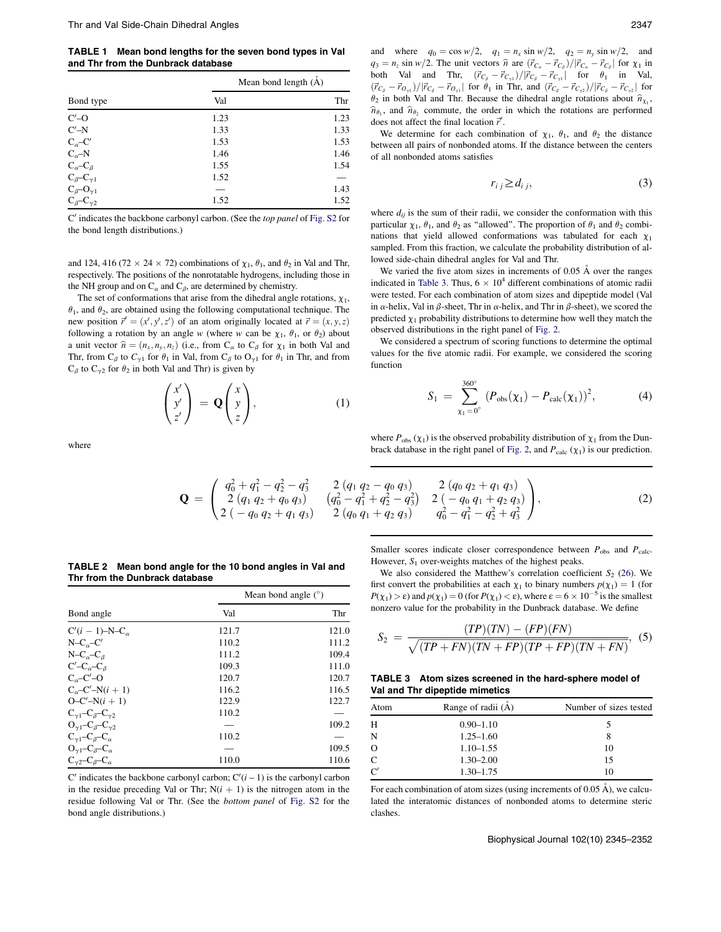TABLE 1 Mean bond lengths for the seven bond types in Val and Thr from the Dunbrack database

|                                                                                                                                                                                                                                 | Mean bond length $(A)$ |      |
|---------------------------------------------------------------------------------------------------------------------------------------------------------------------------------------------------------------------------------|------------------------|------|
| Bond type                                                                                                                                                                                                                       | Val                    | Thr  |
| $C'$ –O                                                                                                                                                                                                                         | 1.23                   | 1.23 |
| $C'$ -N                                                                                                                                                                                                                         | 1.33                   | 1.33 |
| $C_{\alpha}$ -C'                                                                                                                                                                                                                | 1.53                   | 1.53 |
| $C_{\alpha}$ -N                                                                                                                                                                                                                 | 1.46                   | 1.46 |
|                                                                                                                                                                                                                                 | 1.55                   | 1.54 |
|                                                                                                                                                                                                                                 | 1.52                   | -    |
|                                                                                                                                                                                                                                 |                        | 1.43 |
| $\begin{array}{l} \mathbf{C}_\alpha\!\!-\!\!\mathbf{C}_\beta \\ \mathbf{C}_\beta\!\!-\!\!\mathbf{C}_{\gamma 1} \\ \mathbf{C}_\beta\!\!-\!\!\mathbf{O}_{\gamma 1} \\ \mathbf{C}_\beta\!\!-\!\!\mathbf{C}_{\gamma 2} \end{array}$ | 1.52                   | 1.52 |

 $C'$  indicates the backbone carbonyl carbon. (See the top panel of Fig. S2 for the bond length distributions.)

and 124, 416 (72  $\times$  24  $\times$  72) combinations of  $\chi_1$ ,  $\theta_1$ , and  $\theta_2$  in Val and Thr, respectively. The positions of the nonrotatable hydrogens, including those in the NH group and on  $C_{\alpha}$  and  $C_{\beta}$ , are determined by chemistry.

The set of conformations that arise from the dihedral angle rotations,  $\chi_1$ ,  $\theta_1$ , and  $\theta_2$ , are obtained using the following computational technique. The new position  $\vec{r}' = (x', y', z')$  of an atom originally located at  $\vec{r} = (x, y, z)$ following a rotation by an angle w (where w can be  $\chi_1$ ,  $\theta_1$ , or  $\theta_2$ ) about a unit vector  $\hat{n} = (n_x, n_y, n_z)$  (i.e., from  $C_\alpha$  to  $C_\beta$  for  $\chi_1$  in both Val and Thr, from  $C_\beta$  to  $C_{\gamma1}$  for  $\theta_1$  in Val, from  $C_\beta$  to  $O_{\gamma1}$  for  $\theta_1$  in Thr, and from  $C_\beta$  to  $C_{\gamma2}$  for  $\theta_2$  in both Val and Thr) is given by

$$
\begin{pmatrix} x' \\ y' \\ z' \end{pmatrix} = \mathbf{Q} \begin{pmatrix} x \\ y \\ z \end{pmatrix}, \tag{1}
$$

where

and where  $q_0 = \cos w/2$ ,  $q_1 = n_x \sin w/2$ ,  $q_2 = n_y \sin w/2$ , and  $q_3 = n_z \sin w/2$ . The unit vectors  $\hat{n}$  are  $(\vec{r}_{C_\alpha} - \vec{r}_{C_\beta}) / |\vec{r}_{C_\alpha} - \vec{r}_{C_\beta}|$  for  $\chi_1$  in both Val and Thr,  $(\vec{r}_{C_\beta} - \vec{r}_{C_{\gamma1}})/|\vec{r}_{C_\beta} - \vec{r}_{C_{\gamma1}}|$  for  $\theta_1$  in Val,  $({\vec{r}}_{C_\beta } -{\vec{r}}_{O_{\gamma 1}})/|{\vec{r}}_{C_\beta } -{\vec{r}}_{O_{\gamma 1}}|$  for  $\theta_1$  in Thr, and  $({\vec{r}}_{C_\beta } -{\vec{r}}_{C_{\gamma 2}})/|{\vec{r}}_{C_\beta } -{\vec{r}}_{C_{\gamma 2}}|$  for  $\theta_2$  in both Val and Thr. Because the dihedral angle rotations about  $\hat{n}_{\chi_1}$ ,  $\hat{n}_{\theta_1}$ , and  $\hat{n}_{\theta_2}$  commute, the order in which the rotations are performed does not affect the final location  $\vec{r}'$ .

We determine for each combination of  $\chi_1$ ,  $\theta_1$ , and  $\theta_2$  the distance between all pairs of nonbonded atoms. If the distance between the centers of all nonbonded atoms satisfies

$$
r_{i j} \ge d_{i j}, \tag{3}
$$

where  $d_{ij}$  is the sum of their radii, we consider the conformation with this particular  $\chi_1$ ,  $\theta_1$ , and  $\theta_2$  as "allowed". The proportion of  $\theta_1$  and  $\theta_2$  combinations that yield allowed conformations was tabulated for each  $\chi_1$ sampled. From this fraction, we calculate the probability distribution of allowed side-chain dihedral angles for Val and Thr.

We varied the five atom sizes in increments of  $0.05 \text{ Å}$  over the ranges indicated in Table 3. Thus,  $6 \times 10^4$  different combinations of atomic radii were tested. For each combination of atom sizes and dipeptide model (Val in  $\alpha$ -helix, Val in  $\beta$ -sheet, Thr in  $\alpha$ -helix, and Thr in  $\beta$ -sheet), we scored the predicted  $\chi_1$  probability distributions to determine how well they match the observed distributions in the right panel of Fig. 2.

We considered a spectrum of scoring functions to determine the optimal values for the five atomic radii. For example, we considered the scoring function

$$
S_1 = \sum_{\chi_1=0^{\circ}}^{360^{\circ}} (P_{\text{obs}}(\chi_1) - P_{\text{calc}}(\chi_1))^2, \tag{4}
$$

where  $P_{obs}$  ( $\chi_1$ ) is the observed probability distribution of  $\chi_1$  from the Dunbrack database in the right panel of Fig. 2, and  $P_{\text{calc}}$  ( $\chi_1$ ) is our prediction.

$$
\mathbf{Q} = \begin{pmatrix} q_0^2 + q_1^2 - q_2^2 - q_3^2 & 2 (q_1 q_2 - q_0 q_3) & 2 (q_0 q_2 + q_1 q_3) \\ 2 (q_1 q_2 + q_0 q_3) & (q_0^2 - q_1^2 + q_2^2 - q_3^2) & 2 (-q_0 q_1 + q_2 q_3) \\ 2 (-q_0 q_2 + q_1 q_3) & 2 (q_0 q_1 + q_2 q_3) & q_0^2 - q_1^2 - q_2^2 + q_3^2 \end{pmatrix},
$$
(2)

| TABLE 2 Mean bond angle for the 10 bond angles in Val and |
|-----------------------------------------------------------|
| Thr from the Dunbrack database                            |

| Bond angle                                     | Mean bond angle $(°)$ |       |
|------------------------------------------------|-----------------------|-------|
|                                                | Val                   | Thr   |
| $C'(i - 1) - N - C_{\alpha}$                   | 121.7                 | 121.0 |
| $N-Co-C'$                                      | 110.2                 | 111.2 |
| $N-C_{\alpha}-C_{\beta}$                       | 111.2                 | 109.4 |
| $C'$ – $C_{\alpha}$ – $C_{\beta}$              | 109.3                 | 111.0 |
| $C_{\alpha}$ -C'-O                             | 120.7                 | 120.7 |
| $C_{\alpha}$ -C'-N $(i + 1)$                   | 116.2                 | 116.5 |
| $O-C'-N(i + 1)$                                | 122.9                 | 122.7 |
| $C_{\gamma 1}$ - $C_{\beta}$ - $C_{\gamma 2}$  | 110.2                 |       |
| $O_{\gamma 1}$ – $C_{\beta}$ – $C_{\gamma 2}$  |                       | 109.2 |
| $C_{\gamma 1} - C_{\beta} - C_{\alpha}$        | 110.2                 |       |
| $O_{\gamma 1}$ -C <sub>β</sub> -C <sub>α</sub> |                       | 109.5 |
| $C_{\gamma 2}$ - $C_{\beta}$ - $C_{\alpha}$    | 110.0                 | 110.6 |

C' indicates the backbone carbonyl carbon;  $C'(i - 1)$  is the carbonyl carbon in the residue preceding Val or Thr;  $N(i + 1)$  is the nitrogen atom in the residue following Val or Thr. (See the bottom panel of Fig. S2 for the bond angle distributions.)

Smaller scores indicate closer correspondence between  $P_{obs}$  and  $P_{calc}$ . However,  $S_1$  over-weights matches of the highest peaks.

We also considered the Matthew's correlation coefficient  $S_2$  (26). We first convert the probabilities at each  $\chi_1$  to binary numbers  $p(\chi_1) = 1$  (for  $P(\chi_1) > \varepsilon$ ) and  $p(\chi_1) = 0$  (for  $P(\chi_1) < \varepsilon$ ), where  $\varepsilon = 6 \times 10^{-5}$  is the smallest nonzero value for the probability in the Dunbrack database. We define

$$
S_2 = \frac{(TP)(TN) - (FP)(FN)}{\sqrt{(TP + FN)(TN + FP)(TP + FP)(TN + FN)}},
$$
(5)

TABLE 3 Atom sizes screened in the hard-sphere model of Val and Thr dipeptide mimetics

| Atom           | Range of radii $(A)$ | Number of sizes tested |
|----------------|----------------------|------------------------|
| Н              | $0.90 - 1.10$        |                        |
| N              | $1.25 - 1.60$        |                        |
|                | $1.10 - 1.55$        | 10                     |
| C              | $1.30 - 2.00$        | 15                     |
| $\mathcal{C}'$ | $1.30 - 1.75$        | 10                     |

For each combination of atom sizes (using increments of  $0.05 \text{ Å}$ ), we calculated the interatomic distances of nonbonded atoms to determine steric clashes.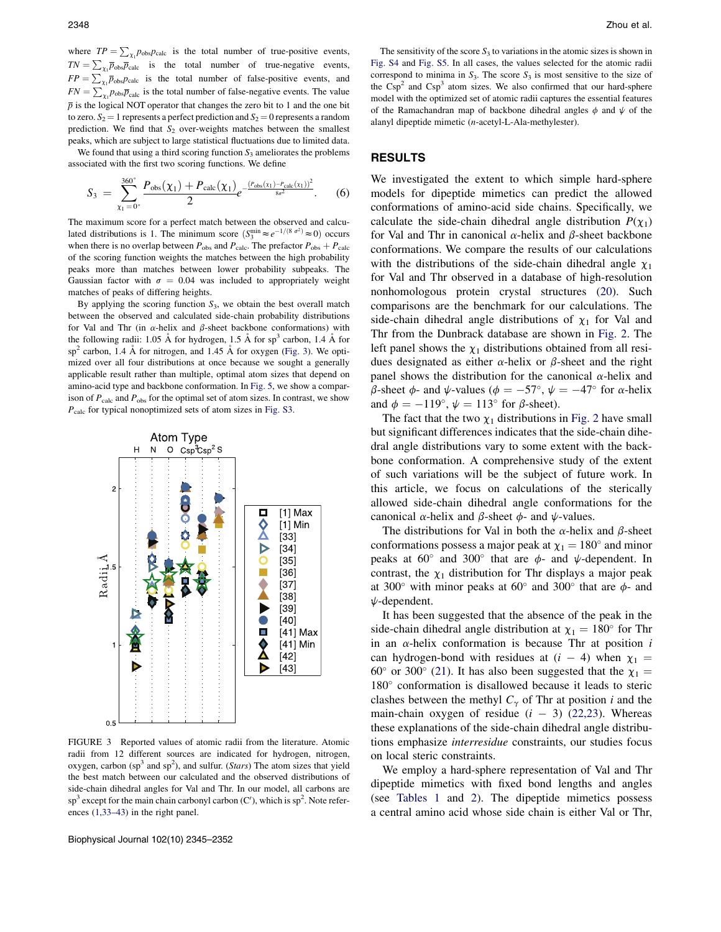where  $TP = \sum_{\chi_1} p_{\text{obs}} p_{\text{calc}}$  is the total number of true-positive events,  $TN = \sum_{\chi_1} \overline{p}_{\text{obs}} \overline{p}_{\text{calc}}$  is the total number of true-negative events,  $FP = \sum_{\chi_1} \overline{p}_{\text{obs}} p_{\text{calc}}$  is the total number of false-positive events, and  $FN = \sum_{\chi_1} p_{\text{obs}} \bar{p}_{\text{calc}}$  is the total number of false-negative events. The value  $\bar{p}$  is the logical NOT operator that changes the zero bit to 1 and the one bit to zero.  $S_2 = 1$  represents a perfect prediction and  $S_2 = 0$  represents a random prediction. We find that  $S_2$  over-weights matches between the smallest peaks, which are subject to large statistical fluctuations due to limited data.

We found that using a third scoring function  $S_3$  ameliorates the problems associated with the first two scoring functions. We define

$$
S_3 = \sum_{\chi_1=0^{\circ}}^{360^{\circ}} \frac{P_{\text{obs}}(\chi_1) + P_{\text{calc}}(\chi_1)}{2} e^{-\frac{(P_{\text{obs}}(\chi_1) - P_{\text{calc}}(\chi_1))^2}{8\sigma^2}}.
$$
 (6)

The maximum score for a perfect match between the observed and calculated distributions is 1. The minimum score  $(S_3^{\text{min}} \approx e^{-1/(8 \sigma^2)} \approx 0)$  occurs when there is no overlap between  $P_{\text{obs}}$  and  $P_{\text{calc}}$ . The prefactor  $P_{\text{obs}} + P_{\text{calc}}$ of the scoring function weights the matches between the high probability peaks more than matches between lower probability subpeaks. The Gaussian factor with  $\sigma = 0.04$  was included to appropriately weight matches of peaks of differing heights.

By applying the scoring function  $S_3$ , we obtain the best overall match between the observed and calculated side-chain probability distributions for Val and Thr (in  $\alpha$ -helix and  $\beta$ -sheet backbone conformations) with the following radii: 1.05 Å for hydrogen, 1.5 Å for sp<sup>3</sup> carbon, 1.4 Å for  $sp<sup>2</sup>$  carbon, 1.4 Å for nitrogen, and 1.45 Å for oxygen (Fig. 3). We optimized over all four distributions at once because we sought a generally applicable result rather than multiple, optimal atom sizes that depend on amino-acid type and backbone conformation. In Fig. 5, we show a comparison of  $P_{\text{calc}}$  and  $P_{\text{obs}}$  for the optimal set of atom sizes. In contrast, we show  $P_{\text{calc}}$  for typical nonoptimized sets of atom sizes in Fig. S3.



FIGURE 3 Reported values of atomic radii from the literature. Atomic radii from 12 different sources are indicated for hydrogen, nitrogen, oxygen, carbon ( $sp<sup>3</sup>$  and  $sp<sup>2</sup>$ ), and sulfur. (*Stars*) The atom sizes that yield the best match between our calculated and the observed distributions of side-chain dihedral angles for Val and Thr. In our model, all carbons are  $\text{sp}^3$  except for the main chain carbonyl carbon (C'), which is  $\text{sp}^2$ . Note references (1,33–43) in the right panel.

Biophysical Journal 102(10) 2345–2352

The sensitivity of the score  $S_3$  to variations in the atomic sizes is shown in Fig. S4 and Fig. S5. In all cases, the values selected for the atomic radii correspond to minima in  $S_3$ . The score  $S_3$  is most sensitive to the size of the  $Csp<sup>2</sup>$  and  $Csp<sup>3</sup>$  atom sizes. We also confirmed that our hard-sphere model with the optimized set of atomic radii captures the essential features of the Ramachandran map of backbone dihedral angles  $\phi$  and  $\psi$  of the alanyl dipeptide mimetic (n-acetyl-L-Ala-methylester).

## RESULTS

We investigated the extent to which simple hard-sphere models for dipeptide mimetics can predict the allowed conformations of amino-acid side chains. Specifically, we calculate the side-chain dihedral angle distribution  $P(\chi_1)$ for Val and Thr in canonical  $\alpha$ -helix and  $\beta$ -sheet backbone conformations. We compare the results of our calculations with the distributions of the side-chain dihedral angle  $\chi_1$ for Val and Thr observed in a database of high-resolution nonhomologous protein crystal structures (20). Such comparisons are the benchmark for our calculations. The side-chain dihedral angle distributions of  $\chi_1$  for Val and Thr from the Dunbrack database are shown in Fig. 2. The left panel shows the  $\chi_1$  distributions obtained from all residues designated as either  $\alpha$ -helix or  $\beta$ -sheet and the right panel shows the distribution for the canonical  $\alpha$ -helix and  $\beta$ -sheet  $\phi$ - and  $\psi$ -values ( $\phi = -57^{\circ}$ ,  $\psi = -47^{\circ}$  for  $\alpha$ -helix and  $\phi = -119^{\circ}$ ,  $\psi = 113^{\circ}$  for  $\beta$ -sheet).

The fact that the two  $\chi_1$  distributions in Fig. 2 have small but significant differences indicates that the side-chain dihedral angle distributions vary to some extent with the backbone conformation. A comprehensive study of the extent of such variations will be the subject of future work. In this article, we focus on calculations of the sterically allowed side-chain dihedral angle conformations for the canonical  $\alpha$ -helix and  $\beta$ -sheet  $\phi$ - and  $\psi$ -values.

The distributions for Val in both the  $\alpha$ -helix and  $\beta$ -sheet conformations possess a major peak at  $\chi_1 = 180^\circ$  and minor peaks at  $60^{\circ}$  and  $300^{\circ}$  that are  $\phi$ - and  $\psi$ -dependent. In contrast, the  $\chi_1$  distribution for Thr displays a major peak at 300 $^{\circ}$  with minor peaks at 60 $^{\circ}$  and 300 $^{\circ}$  that are  $\phi$ - and  $\psi$ -dependent.

It has been suggested that the absence of the peak in the side-chain dihedral angle distribution at  $\chi_1 = 180^\circ$  for Thr in an  $\alpha$ -helix conformation is because Thr at position  $i$ can hydrogen-bond with residues at  $(i - 4)$  when  $\chi_1$  = 60° or 300° (21). It has also been suggested that the  $\chi_1$  = 180" conformation is disallowed because it leads to steric clashes between the methyl  $C_{\gamma}$  of Thr at position i and the main-chain oxygen of residue  $(i - 3)$  (22,23). Whereas these explanations of the side-chain dihedral angle distributions emphasize interresidue constraints, our studies focus on local steric constraints.

We employ a hard-sphere representation of Val and Thr dipeptide mimetics with fixed bond lengths and angles (see Tables 1 and 2). The dipeptide mimetics possess a central amino acid whose side chain is either Val or Thr,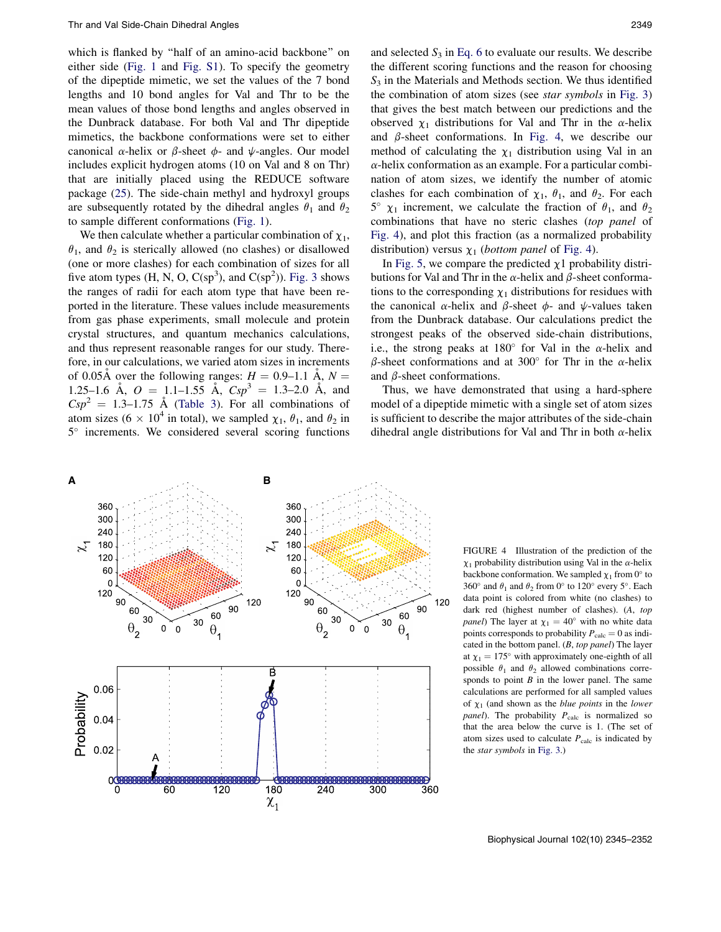which is flanked by ''half of an amino-acid backbone'' on either side (Fig. 1 and Fig. S1). To specify the geometry of the dipeptide mimetic, we set the values of the 7 bond lengths and 10 bond angles for Val and Thr to be the mean values of those bond lengths and angles observed in the Dunbrack database. For both Val and Thr dipeptide mimetics, the backbone conformations were set to either canonical  $\alpha$ -helix or  $\beta$ -sheet  $\phi$ - and  $\psi$ -angles. Our model includes explicit hydrogen atoms (10 on Val and 8 on Thr) that are initially placed using the REDUCE software package (25). The side-chain methyl and hydroxyl groups are subsequently rotated by the dihedral angles  $\theta_1$  and  $\theta_2$ to sample different conformations (Fig. 1).

We then calculate whether a particular combination of  $\chi_1$ ,  $\theta_1$ , and  $\theta_2$  is sterically allowed (no clashes) or disallowed (one or more clashes) for each combination of sizes for all five atom types  $(H, N, O, C(sp^3))$ , and  $C(sp^2)$ ). Fig. 3 shows the ranges of radii for each atom type that have been reported in the literature. These values include measurements from gas phase experiments, small molecule and protein crystal structures, and quantum mechanics calculations, and thus represent reasonable ranges for our study. Therefore, in our calculations, we varied atom sizes in increments of 0.05Å over the following ranges:  $H = 0.9{\text -}1.1$  Å,  $N =$ 1.25–1.6 Å,  $Q = 1.1-1.55$  Å,  $Csp^3 = 1.3-2.0$  Å, and  $Csp^2 = 1.3-1.75$  Å (Table 3). For all combinations of atom sizes (6  $\times$  10<sup>4</sup> in total), we sampled  $\chi_1$ ,  $\theta_1$ , and  $\theta_2$  in 5° increments. We considered several scoring functions and selected  $S_3$  in Eq. 6 to evaluate our results. We describe the different scoring functions and the reason for choosing  $S<sub>3</sub>$  in the Materials and Methods section. We thus identified the combination of atom sizes (see star symbols in Fig. 3) that gives the best match between our predictions and the observed  $\chi_1$  distributions for Val and Thr in the  $\alpha$ -helix and  $\beta$ -sheet conformations. In Fig. 4, we describe our method of calculating the  $\chi_1$  distribution using Val in an  $\alpha$ -helix conformation as an example. For a particular combination of atom sizes, we identify the number of atomic clashes for each combination of  $\chi_1$ ,  $\theta_1$ , and  $\theta_2$ . For each  $5^{\circ}$   $\chi_1$  increment, we calculate the fraction of  $\theta_1$ , and  $\theta_2$ combinations that have no steric clashes (top panel of Fig. 4), and plot this fraction (as a normalized probability distribution) versus  $\chi_1$  (*bottom panel* of Fig. 4).

In Fig. 5, we compare the predicted  $\chi$ 1 probability distributions for Val and Thr in the  $\alpha$ -helix and  $\beta$ -sheet conformations to the corresponding  $\chi_1$  distributions for residues with the canonical  $\alpha$ -helix and  $\beta$ -sheet  $\phi$ - and  $\psi$ -values taken from the Dunbrack database. Our calculations predict the strongest peaks of the observed side-chain distributions, i.e., the strong peaks at 180 $^{\circ}$  for Val in the  $\alpha$ -helix and  $\beta$ -sheet conformations and at 300° for Thr in the  $\alpha$ -helix and  $\beta$ -sheet conformations.

Thus, we have demonstrated that using a hard-sphere model of a dipeptide mimetic with a single set of atom sizes is sufficient to describe the major attributes of the side-chain dihedral angle distributions for Val and Thr in both  $\alpha$ -helix



FIGURE 4 Illustration of the prediction of the  $\chi_1$  probability distribution using Val in the  $\alpha$ -helix backbone conformation. We sampled  $\chi_1$  from 0° to 360° and  $\theta_1$  and  $\theta_2$  from 0° to 120° every 5°. Each data point is colored from white (no clashes) to dark red (highest number of clashes). (A, top *panel*) The layer at  $\chi_1 = 40^\circ$  with no white data points corresponds to probability  $P_{\text{calc}} = 0$  as indicated in the bottom panel.  $(B, top panel)$  The layer at  $\chi_1 = 175^\circ$  with approximately one-eighth of all possible  $\theta_1$  and  $\theta_2$  allowed combinations corresponds to point  $B$  in the lower panel. The same calculations are performed for all sampled values of  $\chi_1$  (and shown as the *blue points* in the *lower panel*). The probability  $P_{\text{calc}}$  is normalized so that the area below the curve is 1. (The set of atom sizes used to calculate  $P_{\text{calc}}$  is indicated by the star symbols in Fig. 3.)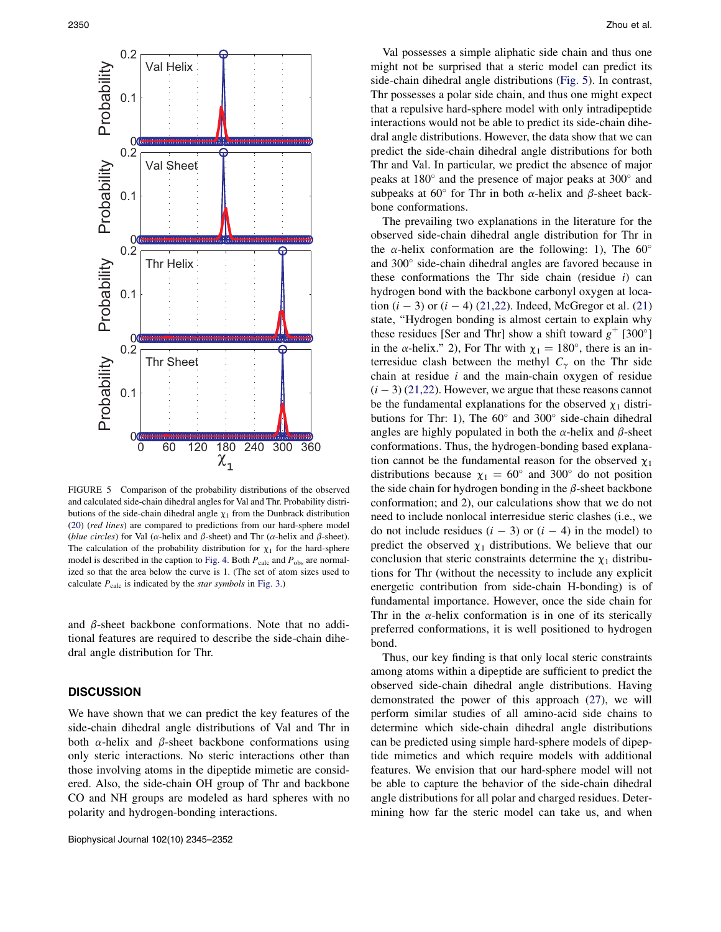

FIGURE 5 Comparison of the probability distributions of the observed and calculated side-chain dihedral angles for Val and Thr. Probability distributions of the side-chain dihedral angle  $\chi_1$  from the Dunbrack distribution (20) (red lines) are compared to predictions from our hard-sphere model (blue circles) for Val ( $\alpha$ -helix and  $\beta$ -sheet) and Thr ( $\alpha$ -helix and  $\beta$ -sheet). The calculation of the probability distribution for  $\chi_1$  for the hard-sphere model is described in the caption to Fig. 4. Both  $P_{\text{calc}}$  and  $P_{\text{obs}}$  are normalized so that the area below the curve is 1. (The set of atom sizes used to calculate  $P_{\text{calc}}$  is indicated by the *star symbols* in Fig. 3.)

and  $\beta$ -sheet backbone conformations. Note that no additional features are required to describe the side-chain dihedral angle distribution for Thr.

# **DISCUSSION**

We have shown that we can predict the key features of the side-chain dihedral angle distributions of Val and Thr in both  $\alpha$ -helix and  $\beta$ -sheet backbone conformations using only steric interactions. No steric interactions other than those involving atoms in the dipeptide mimetic are considered. Also, the side-chain OH group of Thr and backbone CO and NH groups are modeled as hard spheres with no polarity and hydrogen-bonding interactions.

Val possesses a simple aliphatic side chain and thus one might not be surprised that a steric model can predict its side-chain dihedral angle distributions (Fig. 5). In contrast, Thr possesses a polar side chain, and thus one might expect that a repulsive hard-sphere model with only intradipeptide interactions would not be able to predict its side-chain dihedral angle distributions. However, the data show that we can predict the side-chain dihedral angle distributions for both Thr and Val. In particular, we predict the absence of major peaks at 180" and the presence of major peaks at 300" and subpeaks at 60 $^{\circ}$  for Thr in both  $\alpha$ -helix and  $\beta$ -sheet backbone conformations.

The prevailing two explanations in the literature for the observed side-chain dihedral angle distribution for Thr in the  $\alpha$ -helix conformation are the following: 1), The 60° and 300" side-chain dihedral angles are favored because in these conformations the Thr side chain (residue  $i$ ) can hydrogen bond with the backbone carbonyl oxygen at location  $(i - 3)$  or  $(i - 4)$  (21,22). Indeed, McGregor et al. (21) state, ''Hydrogen bonding is almost certain to explain why these residues [Ser and Thr] show a shift toward  $g^+$  [300°] in the  $\alpha$ -helix." 2), For Thr with  $\chi_1 = 180^\circ$ , there is an interresidue clash between the methyl  $C_{\gamma}$  on the Thr side chain at residue  $i$  and the main-chain oxygen of residue  $(i - 3)$  (21,22). However, we argue that these reasons cannot be the fundamental explanations for the observed  $\chi_1$  distributions for Thr: 1), The  $60^{\circ}$  and  $300^{\circ}$  side-chain dihedral angles are highly populated in both the  $\alpha$ -helix and  $\beta$ -sheet conformations. Thus, the hydrogen-bonding based explanation cannot be the fundamental reason for the observed  $\chi_1$ distributions because  $\chi_1 = 60^\circ$  and 300° do not position the side chain for hydrogen bonding in the  $\beta$ -sheet backbone conformation; and 2), our calculations show that we do not need to include nonlocal interresidue steric clashes (i.e., we do not include residues  $(i - 3)$  or  $(i - 4)$  in the model) to predict the observed  $\chi_1$  distributions. We believe that our conclusion that steric constraints determine the  $\chi_1$  distributions for Thr (without the necessity to include any explicit energetic contribution from side-chain H-bonding) is of fundamental importance. However, once the side chain for Thr in the  $\alpha$ -helix conformation is in one of its sterically preferred conformations, it is well positioned to hydrogen bond.

Thus, our key finding is that only local steric constraints among atoms within a dipeptide are sufficient to predict the observed side-chain dihedral angle distributions. Having demonstrated the power of this approach (27), we will perform similar studies of all amino-acid side chains to determine which side-chain dihedral angle distributions can be predicted using simple hard-sphere models of dipeptide mimetics and which require models with additional features. We envision that our hard-sphere model will not be able to capture the behavior of the side-chain dihedral angle distributions for all polar and charged residues. Determining how far the steric model can take us, and when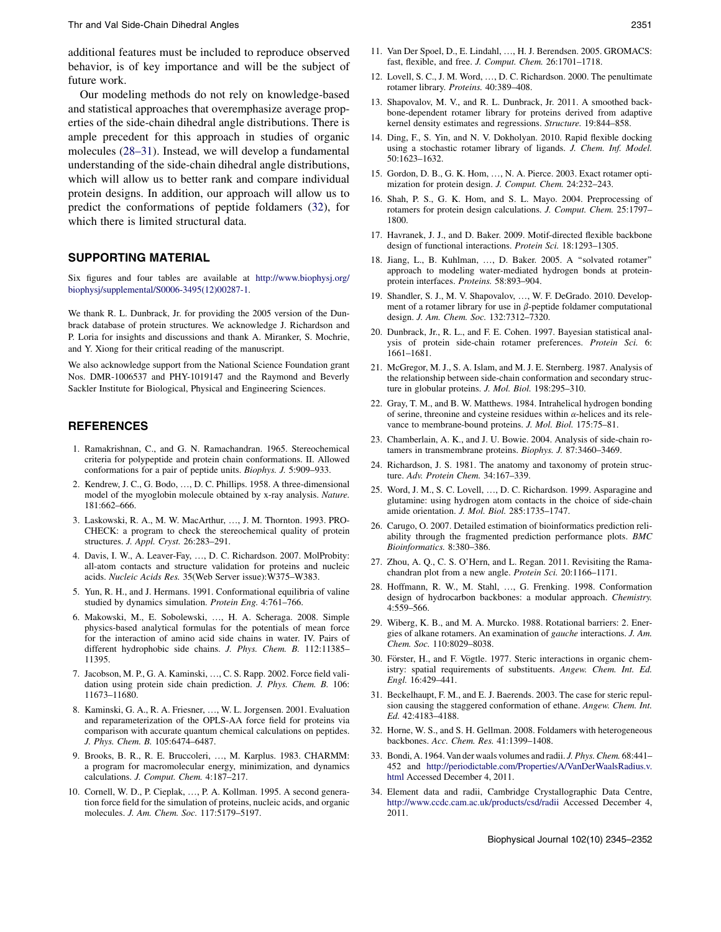additional features must be included to reproduce observed behavior, is of key importance and will be the subject of future work.

Our modeling methods do not rely on knowledge-based and statistical approaches that overemphasize average properties of the side-chain dihedral angle distributions. There is ample precedent for this approach in studies of organic molecules (28–31). Instead, we will develop a fundamental understanding of the side-chain dihedral angle distributions, which will allow us to better rank and compare individual protein designs. In addition, our approach will allow us to predict the conformations of peptide foldamers (32), for which there is limited structural data.

# SUPPORTING MATERIAL

Six figures and four tables are available at http://www.biophysj.org/ biophysj/supplemental/S0006-3495(12)00287-1.

We thank R. L. Dunbrack, Jr. for providing the 2005 version of the Dunbrack database of protein structures. We acknowledge J. Richardson and P. Loria for insights and discussions and thank A. Miranker, S. Mochrie, and Y. Xiong for their critical reading of the manuscript.

We also acknowledge support from the National Science Foundation grant Nos. DMR-1006537 and PHY-1019147 and the Raymond and Beverly Sackler Institute for Biological, Physical and Engineering Sciences.

# REFERENCES

- 1. Ramakrishnan, C., and G. N. Ramachandran. 1965. Stereochemical criteria for polypeptide and protein chain conformations. II. Allowed conformations for a pair of peptide units. Biophys. J. 5:909–933.
- 2. Kendrew, J. C., G. Bodo, ., D. C. Phillips. 1958. A three-dimensional model of the myoglobin molecule obtained by x-ray analysis. Nature. 181:662–666.
- 3. Laskowski, R. A., M. W. MacArthur, ..., J. M. Thornton. 1993. PRO-CHECK: a program to check the stereochemical quality of protein structures. J. Appl. Cryst. 26:283–291.
- 4. Davis, I. W., A. Leaver-Fay, ..., D. C. Richardson. 2007. MolProbity: all-atom contacts and structure validation for proteins and nucleic acids. Nucleic Acids Res. 35(Web Server issue):W375–W383.
- 5. Yun, R. H., and J. Hermans. 1991. Conformational equilibria of valine studied by dynamics simulation. Protein Eng. 4:761–766.
- 6. Makowski, M., E. Sobolewski, ..., H. A. Scheraga. 2008. Simple physics-based analytical formulas for the potentials of mean force for the interaction of amino acid side chains in water. IV. Pairs of different hydrophobic side chains. J. Phys. Chem. B. 112:11385– 11395.
- 7. Jacobson, M. P., G. A. Kaminski, ., C. S. Rapp. 2002. Force field validation using protein side chain prediction. J. Phys. Chem. B. 106: 11673–11680.
- 8. Kaminski, G. A., R. A. Friesner, ..., W. L. Jorgensen. 2001. Evaluation and reparameterization of the OPLS-AA force field for proteins via comparison with accurate quantum chemical calculations on peptides. J. Phys. Chem. B. 105:6474–6487.
- 9. Brooks, B. R., R. E. Bruccoleri, ., M. Karplus. 1983. CHARMM: a program for macromolecular energy, minimization, and dynamics calculations. J. Comput. Chem. 4:187–217.
- 10. Cornell, W. D., P. Cieplak, ..., P. A. Kollman. 1995. A second generation force field for the simulation of proteins, nucleic acids, and organic molecules. J. Am. Chem. Soc. 117:5179–5197.
- 11. Van Der Spoel, D., E. Lindahl, ..., H. J. Berendsen. 2005. GROMACS: fast, flexible, and free. J. Comput. Chem. 26:1701–1718.
- 12. Lovell, S. C., J. M. Word, ., D. C. Richardson. 2000. The penultimate rotamer library. Proteins. 40:389–408.
- 13. Shapovalov, M. V., and R. L. Dunbrack, Jr. 2011. A smoothed backbone-dependent rotamer library for proteins derived from adaptive kernel density estimates and regressions. Structure. 19:844–858.
- 14. Ding, F., S. Yin, and N. V. Dokholyan. 2010. Rapid flexible docking using a stochastic rotamer library of ligands. J. Chem. Inf. Model. 50:1623–1632.
- 15. Gordon, D. B., G. K. Hom, ..., N. A. Pierce. 2003. Exact rotamer optimization for protein design. J. Comput. Chem. 24:232–243.
- 16. Shah, P. S., G. K. Hom, and S. L. Mayo. 2004. Preprocessing of rotamers for protein design calculations. J. Comput. Chem. 25:1797– 1800.
- 17. Havranek, J. J., and D. Baker. 2009. Motif-directed flexible backbone design of functional interactions. Protein Sci. 18:1293–1305.
- 18. Jiang, L., B. Kuhlman, ..., D. Baker. 2005. A "solvated rotamer" approach to modeling water-mediated hydrogen bonds at proteinprotein interfaces. Proteins. 58:893–904.
- 19. Shandler, S. J., M. V. Shapovalov, ..., W. F. DeGrado. 2010. Development of a rotamer library for use in  $\beta$ -peptide foldamer computational design. J. Am. Chem. Soc. 132:7312–7320.
- 20. Dunbrack, Jr., R. L., and F. E. Cohen. 1997. Bayesian statistical analysis of protein side-chain rotamer preferences. Protein Sci. 6: 1661–1681.
- 21. McGregor, M. J., S. A. Islam, and M. J. E. Sternberg. 1987. Analysis of the relationship between side-chain conformation and secondary structure in globular proteins. J. Mol. Biol. 198:295–310.
- 22. Gray, T. M., and B. W. Matthews. 1984. Intrahelical hydrogen bonding of serine, threonine and cysteine residues within  $\alpha$ -helices and its relevance to membrane-bound proteins. J. Mol. Biol. 175:75–81.
- 23. Chamberlain, A. K., and J. U. Bowie. 2004. Analysis of side-chain rotamers in transmembrane proteins. Biophys. J. 87:3460–3469.
- 24. Richardson, J. S. 1981. The anatomy and taxonomy of protein structure. Adv. Protein Chem. 34:167–339.
- 25. Word, J. M., S. C. Lovell, ., D. C. Richardson. 1999. Asparagine and glutamine: using hydrogen atom contacts in the choice of side-chain amide orientation. J. Mol. Biol. 285:1735–1747.
- 26. Carugo, O. 2007. Detailed estimation of bioinformatics prediction reliability through the fragmented prediction performance plots. BMC Bioinformatics. 8:380–386.
- 27. Zhou, A. Q., C. S. O'Hern, and L. Regan. 2011. Revisiting the Ramachandran plot from a new angle. Protein Sci. 20:1166–1171.
- 28. Hoffmann, R. W., M. Stahl, ..., G. Frenking. 1998. Conformation design of hydrocarbon backbones: a modular approach. Chemistry. 4:559–566.
- 29. Wiberg, K. B., and M. A. Murcko. 1988. Rotational barriers: 2. Energies of alkane rotamers. An examination of gauche interactions. J. Am. Chem. Soc. 110:8029–8038.
- 30. Förster, H., and F. Vögtle. 1977. Steric interactions in organic chemistry: spatial requirements of substituents. Angew. Chem. Int. Ed. Engl. 16:429–441.
- 31. Beckelhaupt, F. M., and E. J. Baerends. 2003. The case for steric repulsion causing the staggered conformation of ethane. Angew. Chem. Int. Ed. 42:4183–4188.
- 32. Horne, W. S., and S. H. Gellman. 2008. Foldamers with heterogeneous backbones. Acc. Chem. Res. 41:1399–1408.
- 33. Bondi, A. 1964. Van der waals volumes and radii. J. Phys. Chem. 68:441– 452 and http://periodictable.com/Properties/A/VanDerWaalsRadius.v. html Accessed December 4, 2011.
- 34. Element data and radii, Cambridge Crystallographic Data Centre, http://www.ccdc.cam.ac.uk/products/csd/radii Accessed December 4, 2011.